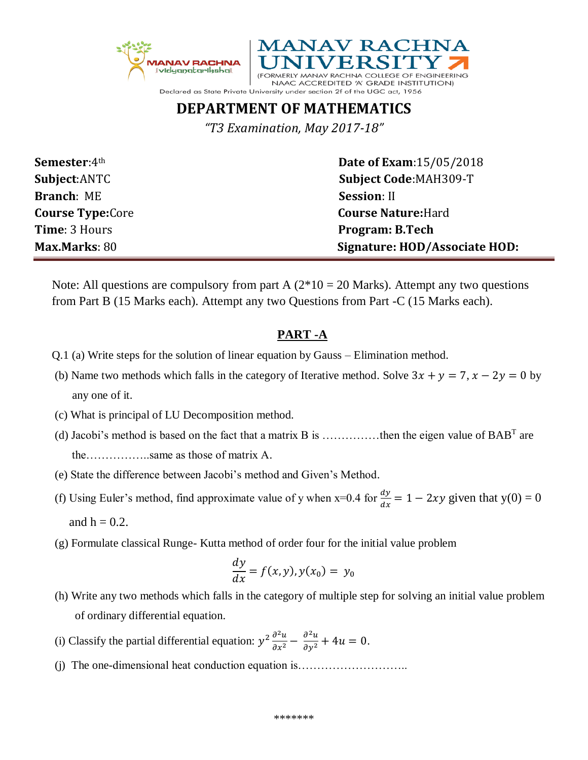



## **DEPARTMENT OF MATHEMATICS**

*"T3 Examination, May 2017-18"*

| <b>Semester:</b> 4th    | <b>Date of Exam: 15/05/2018</b> |  |
|-------------------------|---------------------------------|--|
| <b>Subject:ANTC</b>     | <b>Subject Code: MAH309-T</b>   |  |
| <b>Branch: ME</b>       | <b>Session: II</b>              |  |
| <b>Course Type:Core</b> | <b>Course Nature: Hard</b>      |  |
| <b>Time: 3 Hours</b>    | <b>Program: B.Tech</b>          |  |
| <b>Max Marks: 80</b>    | Signature: HOD/Associate HOD:   |  |

Note: All questions are compulsory from part A  $(2*10 = 20$  Marks). Attempt any two questions from Part B (15 Marks each). Attempt any two Questions from Part -C (15 Marks each).

## **PART -A**

- Q.1 (a) Write steps for the solution of linear equation by Gauss Elimination method.
- (b) Name two methods which falls in the category of Iterative method. Solve  $3x + y = 7$ ,  $x 2y = 0$  by any one of it.
- (c) What is principal of LU Decomposition method.
- (d) Jacobi's method is based on the fact that a matrix B is .................then the eigen value of  $BAB^T$  are the……………..same as those of matrix A.
	- (e) State the difference between Jacobi's method and Given's Method.
- (f) Using Euler's method, find approximate value of y when x=0.4 for  $\frac{dy}{dx} = 1 2xy$  given that y(0) = 0 and  $h = 0.2$ .
	- (g) Formulate classical Runge- Kutta method of order four for the initial value problem

$$
\frac{dy}{dx} = f(x, y), y(x_0) = y_0
$$

- (h) Write any two methods which falls in the category of multiple step for solving an initial value problem of ordinary differential equation.
- (i) Classify the partial differential equation:  $y^2 \frac{\partial^2 u}{\partial x^2}$  $\frac{\partial^2 u}{\partial x^2} - \frac{\partial^2 u}{\partial y^2} + 4u = 0.$ 
	- (j) The one-dimensional heat conduction equation is………………………..